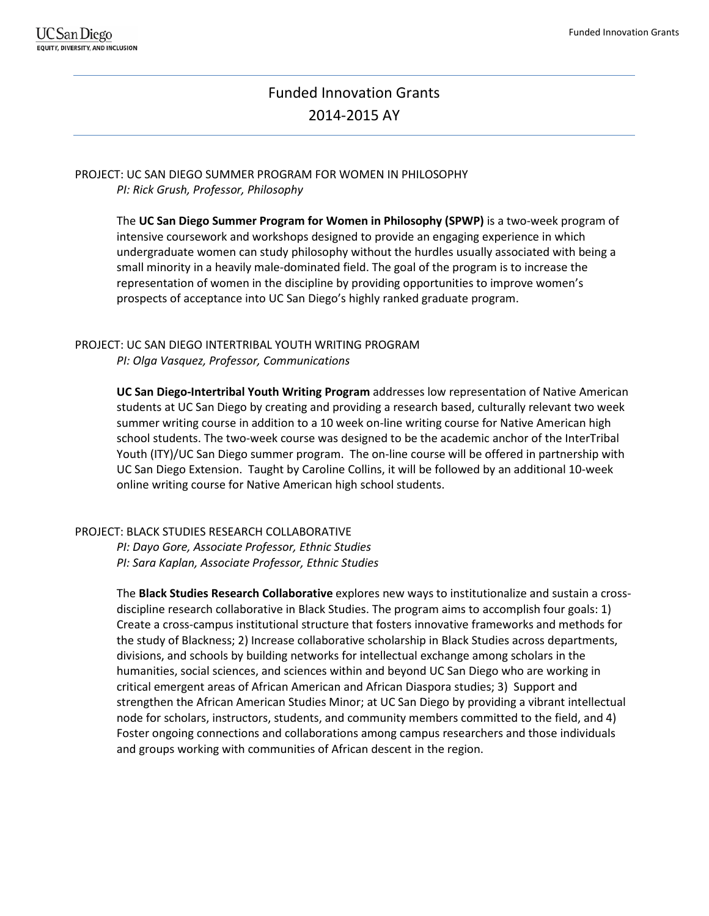# Funded Innovation Grants 2014-2015 AY

PROJECT: UC SAN DIEGO SUMMER PROGRAM FOR WOMEN IN PHILOSOPHY *PI: Rick Grush, Professor, Philosophy* 

> The **UC San Diego Summer Program for Women in Philosophy (SPWP)** is a two-week program of intensive coursework and workshops designed to provide an engaging experience in which undergraduate women can study philosophy without the hurdles usually associated with being a small minority in a heavily male-dominated field. The goal of the program is to increase the representation of women in the discipline by providing opportunities to improve women's prospects of acceptance into UC San Diego's highly ranked graduate program.

PROJECT: UC SAN DIEGO INTERTRIBAL YOUTH WRITING PROGRAM *PI: Olga Vasquez, Professor, Communications* 

> **UC San Diego-Intertribal Youth Writing Program** addresses low representation of Native American students at UC San Diego by creating and providing a research based, culturally relevant two week summer writing course in addition to a 10 week on-line writing course for Native American high school students. The two-week course was designed to be the academic anchor of the InterTribal Youth (ITY)/UC San Diego summer program. The on-line course will be offered in partnership with UC San Diego Extension. Taught by Caroline Collins, it will be followed by an additional 10-week online writing course for Native American high school students.

#### PROJECT: BLACK STUDIES RESEARCH COLLABORATIVE

*PI: Dayo Gore, Associate Professor, Ethnic Studies PI: Sara Kaplan, Associate Professor, Ethnic Studies*

The **Black Studies Research Collaborative** explores new ways to institutionalize and sustain a crossdiscipline research collaborative in Black Studies. The program aims to accomplish four goals: 1) Create a cross-campus institutional structure that fosters innovative frameworks and methods for the study of Blackness; 2) Increase collaborative scholarship in Black Studies across departments, divisions, and schools by building networks for intellectual exchange among scholars in the humanities, social sciences, and sciences within and beyond UC San Diego who are working in critical emergent areas of African American and African Diaspora studies; 3) Support and strengthen the African American Studies Minor; at UC San Diego by providing a vibrant intellectual node for scholars, instructors, students, and community members committed to the field, and 4) Foster ongoing connections and collaborations among campus researchers and those individuals and groups working with communities of African descent in the region.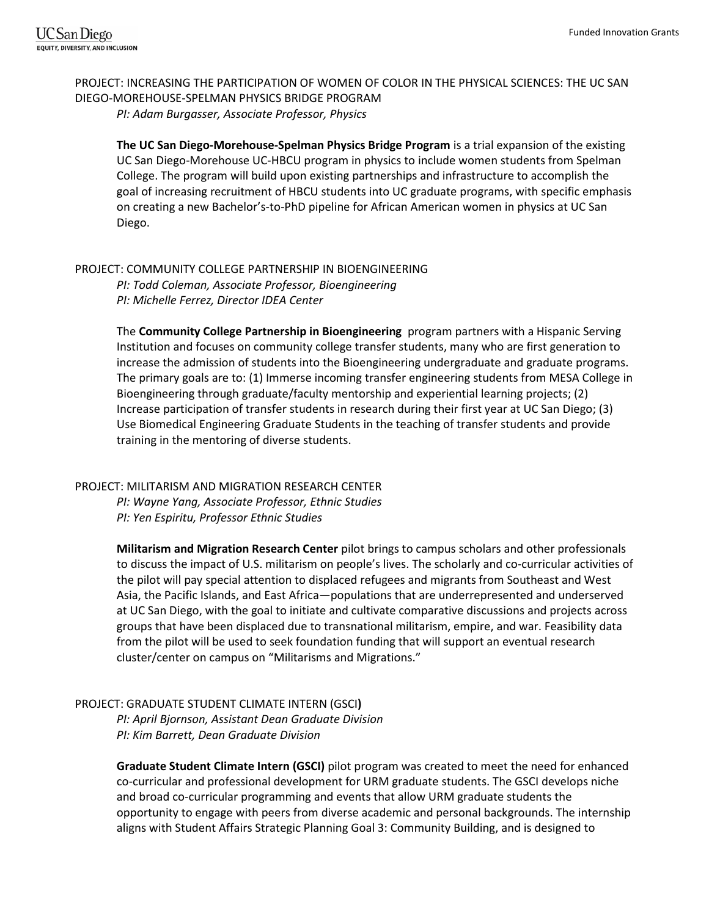PROJECT: INCREASING THE PARTICIPATION OF WOMEN OF COLOR IN THE PHYSICAL SCIENCES: THE UC SAN DIEGO-MOREHOUSE-SPELMAN PHYSICS BRIDGE PROGRAM *PI: Adam Burgasser, Associate Professor, Physics*

**The UC San Diego-Morehouse-Spelman Physics Bridge Program** is a trial expansion of the existing UC San Diego-Morehouse UC-HBCU program in physics to include women students from Spelman College. The program will build upon existing partnerships and infrastructure to accomplish the goal of increasing recruitment of HBCU students into UC graduate programs, with specific emphasis on creating a new Bachelor's-to-PhD pipeline for African American women in physics at UC San Diego.

# PROJECT: COMMUNITY COLLEGE PARTNERSHIP IN BIOENGINEERING

*PI: Todd Coleman, Associate Professor, Bioengineering PI: Michelle Ferrez, Director IDEA Center* 

The **Community College Partnership in Bioengineering** program partners with a Hispanic Serving Institution and focuses on community college transfer students, many who are first generation to increase the admission of students into the Bioengineering undergraduate and graduate programs. The primary goals are to: (1) Immerse incoming transfer engineering students from MESA College in Bioengineering through graduate/faculty mentorship and experiential learning projects; (2) Increase participation of transfer students in research during their first year at UC San Diego; (3) Use Biomedical Engineering Graduate Students in the teaching of transfer students and provide training in the mentoring of diverse students.

# PROJECT: MILITARISM AND MIGRATION RESEARCH CENTER

*PI: Wayne Yang, Associate Professor, Ethnic Studies PI: Yen Espiritu, Professor Ethnic Studies* 

**Militarism and Migration Research Center** pilot brings to campus scholars and other professionals to discuss the impact of U.S. militarism on people's lives. The scholarly and co-curricular activities of the pilot will pay special attention to displaced refugees and migrants from Southeast and West Asia, the Pacific Islands, and East Africa—populations that are underrepresented and underserved at UC San Diego, with the goal to initiate and cultivate comparative discussions and projects across groups that have been displaced due to transnational militarism, empire, and war. Feasibility data from the pilot will be used to seek foundation funding that will support an eventual research cluster/center on campus on "Militarisms and Migrations."

# PROJECT: GRADUATE STUDENT CLIMATE INTERN (GSCI**)**

*PI: April Bjornson, Assistant Dean Graduate Division PI: Kim Barrett, Dean Graduate Division* 

**Graduate Student Climate Intern (GSCI)** pilot program was created to meet the need for enhanced co-curricular and professional development for URM graduate students. The GSCI develops niche and broad co-curricular programming and events that allow URM graduate students the opportunity to engage with peers from diverse academic and personal backgrounds. The internship aligns with Student Affairs Strategic Planning Goal 3: Community Building, and is designed to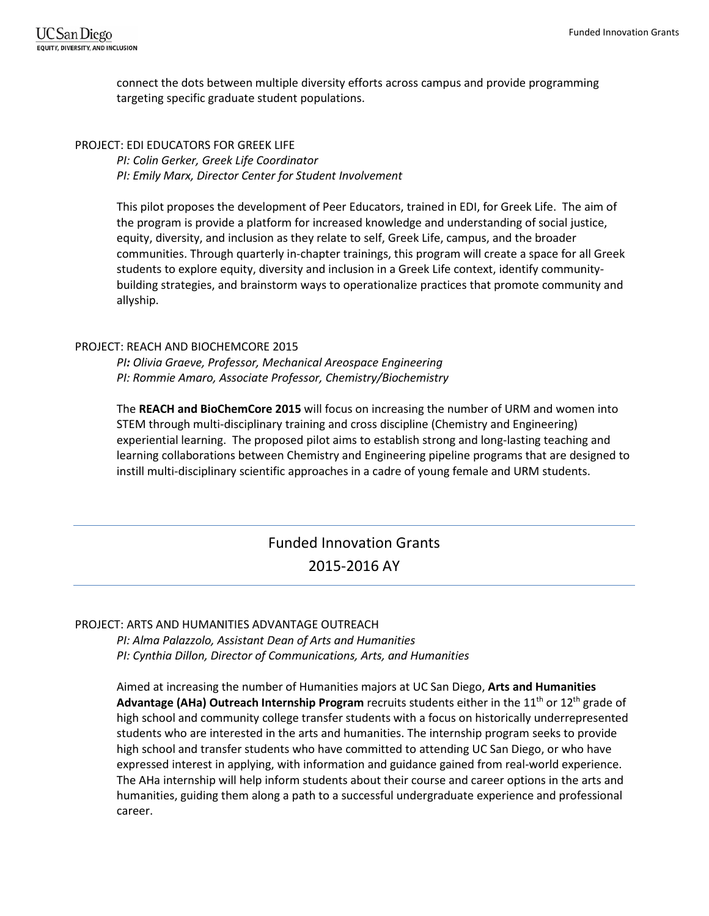connect the dots between multiple diversity efforts across campus and provide programming targeting specific graduate student populations.

#### PROJECT: EDI EDUCATORS FOR GREEK LIFE

*PI: Colin Gerker, Greek Life Coordinator PI: Emily Marx, Director Center for Student Involvement*

This pilot proposes the development of Peer Educators, trained in EDI, for Greek Life. The aim of the program is provide a platform for increased knowledge and understanding of social justice, equity, diversity, and inclusion as they relate to self, Greek Life, campus, and the broader communities. Through quarterly in-chapter trainings, this program will create a space for all Greek students to explore equity, diversity and inclusion in a Greek Life context, identify communitybuilding strategies, and brainstorm ways to operationalize practices that promote community and allyship.

#### PROJECT: REACH AND BIOCHEMCORE 2015

*PI: Olivia Graeve, Professor, Mechanical Areospace Engineering PI: Rommie Amaro, Associate Professor, Chemistry/Biochemistry*

The **REACH and BioChemCore 2015** will focus on increasing the number of URM and women into STEM through multi-disciplinary training and cross discipline (Chemistry and Engineering) experiential learning. The proposed pilot aims to establish strong and long-lasting teaching and learning collaborations between Chemistry and Engineering pipeline programs that are designed to instill multi-disciplinary scientific approaches in a cadre of young female and URM students.

# Funded Innovation Grants 2015-2016 AY

#### PROJECT: ARTS AND HUMANITIES ADVANTAGE OUTREACH

*PI: Alma Palazzolo, Assistant Dean of Arts and Humanities PI: Cynthia Dillon, Director of Communications, Arts, and Humanities* 

Aimed at increasing the number of Humanities majors at UC San Diego, **Arts and Humanities Advantage (AHa) Outreach Internship Program** recruits students either in the 11<sup>th</sup> or 12<sup>th</sup> grade of high school and community college transfer students with a focus on historically underrepresented students who are interested in the arts and humanities. The internship program seeks to provide high school and transfer students who have committed to attending UC San Diego, or who have expressed interest in applying, with information and guidance gained from real-world experience. The AHa internship will help inform students about their course and career options in the arts and humanities, guiding them along a path to a successful undergraduate experience and professional career.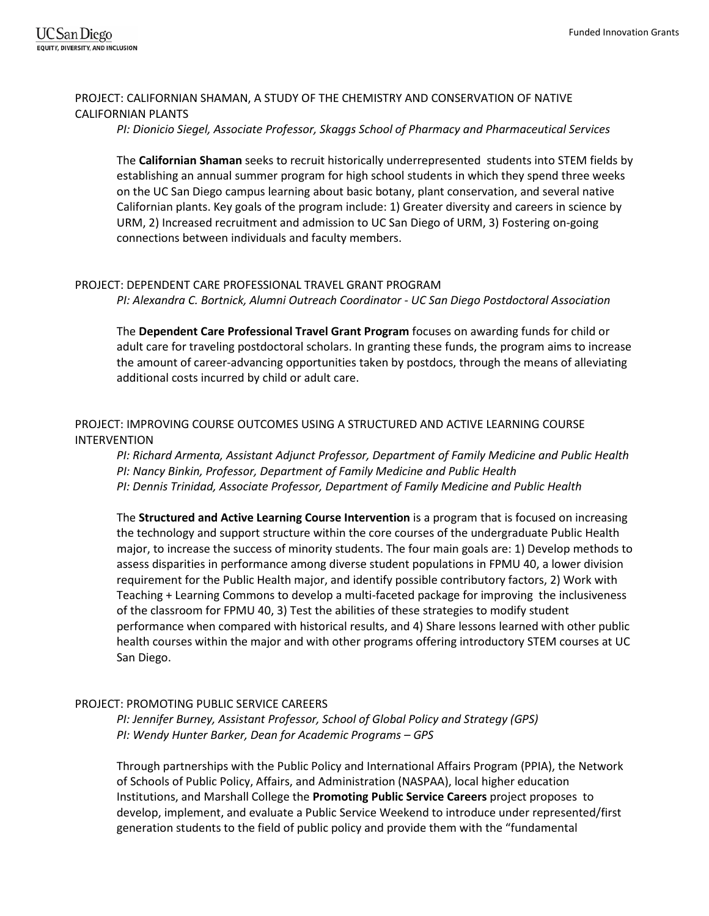# PROJECT: CALIFORNIAN SHAMAN, A STUDY OF THE CHEMISTRY AND CONSERVATION OF NATIVE CALIFORNIAN PLANTS

*PI: Dionicio Siegel, Associate Professor, Skaggs School of Pharmacy and Pharmaceutical Services* 

The **Californian Shaman** seeks to recruit historically underrepresented students into STEM fields by establishing an annual summer program for high school students in which they spend three weeks on the UC San Diego campus learning about basic botany, plant conservation, and several native Californian plants. Key goals of the program include: 1) Greater diversity and careers in science by URM, 2) Increased recruitment and admission to UC San Diego of URM, 3) Fostering on-going connections between individuals and faculty members.

# PROJECT: DEPENDENT CARE PROFESSIONAL TRAVEL GRANT PROGRAM

*PI: Alexandra C. Bortnick, Alumni Outreach Coordinator - UC San Diego Postdoctoral Association* 

The **Dependent Care Professional Travel Grant Program** focuses on awarding funds for child or adult care for traveling postdoctoral scholars. In granting these funds, the program aims to increase the amount of career-advancing opportunities taken by postdocs, through the means of alleviating additional costs incurred by child or adult care.

# PROJECT: IMPROVING COURSE OUTCOMES USING A STRUCTURED AND ACTIVE LEARNING COURSE INTERVENTION

*PI: Richard Armenta, Assistant Adjunct Professor, Department of Family Medicine and Public Health PI: Nancy Binkin, Professor, Department of Family Medicine and Public Health PI: Dennis Trinidad, Associate Professor, Department of Family Medicine and Public Health*

The **Structured and Active Learning Course Intervention** is a program that is focused on increasing the technology and support structure within the core courses of the undergraduate Public Health major, to increase the success of minority students. The four main goals are: 1) Develop methods to assess disparities in performance among diverse student populations in FPMU 40, a lower division requirement for the Public Health major, and identify possible contributory factors, 2) Work with Teaching + Learning Commons to develop a multi-faceted package for improving the inclusiveness of the classroom for FPMU 40, 3) Test the abilities of these strategies to modify student performance when compared with historical results, and 4) Share lessons learned with other public health courses within the major and with other programs offering introductory STEM courses at UC San Diego.

# PROJECT: PROMOTING PUBLIC SERVICE CAREERS

*PI: Jennifer Burney, Assistant Professor, School of Global Policy and Strategy (GPS) PI: Wendy Hunter Barker, Dean for Academic Programs – GPS*

Through partnerships with the Public Policy and International Affairs Program (PPIA), the Network of Schools of Public Policy, Affairs, and Administration (NASPAA), local higher education Institutions, and Marshall College the **Promoting Public Service Careers** project proposes to develop, implement, and evaluate a Public Service Weekend to introduce under represented/first generation students to the field of public policy and provide them with the "fundamental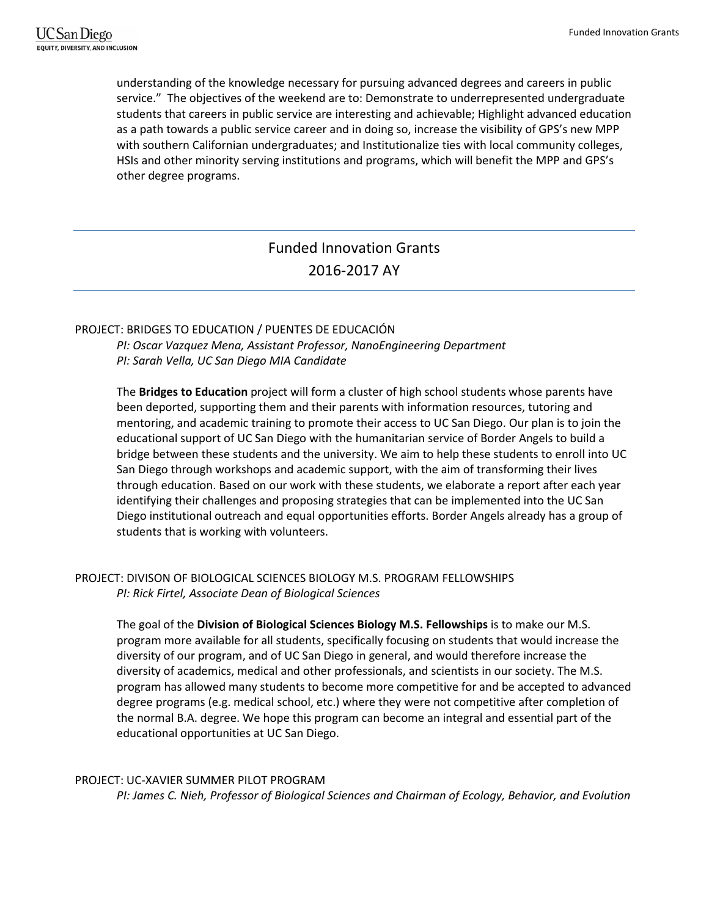understanding of the knowledge necessary for pursuing advanced degrees and careers in public service." The objectives of the weekend are to: Demonstrate to underrepresented undergraduate students that careers in public service are interesting and achievable; Highlight advanced education as a path towards a public service career and in doing so, increase the visibility of GPS's new MPP with southern Californian undergraduates; and Institutionalize ties with local community colleges, HSIs and other minority serving institutions and programs, which will benefit the MPP and GPS's other degree programs.

# Funded Innovation Grants 2016-2017 AY

# PROJECT: BRIDGES TO EDUCATION / PUENTES DE EDUCACIÓN

*PI: Oscar Vazquez Mena, Assistant Professor, NanoEngineering Department PI: Sarah Vella, UC San Diego MIA Candidate*

The **Bridges to Education** project will form a cluster of high school students whose parents have been deported, supporting them and their parents with information resources, tutoring and mentoring, and academic training to promote their access to UC San Diego. Our plan is to join the educational support of UC San Diego with the humanitarian service of Border Angels to build a bridge between these students and the university. We aim to help these students to enroll into UC San Diego through workshops and academic support, with the aim of transforming their lives through education. Based on our work with these students, we elaborate a report after each year identifying their challenges and proposing strategies that can be implemented into the UC San Diego institutional outreach and equal opportunities efforts. Border Angels already has a group of students that is working with volunteers.

# PROJECT: DIVISON OF BIOLOGICAL SCIENCES BIOLOGY M.S. PROGRAM FELLOWSHIPS *PI: Rick Firtel, Associate Dean of Biological Sciences*

The goal of the **Division of Biological Sciences Biology M.S. Fellowships** is to make our M.S. program more available for all students, specifically focusing on students that would increase the diversity of our program, and of UC San Diego in general, and would therefore increase the diversity of academics, medical and other professionals, and scientists in our society. The M.S. program has allowed many students to become more competitive for and be accepted to advanced degree programs (e.g. medical school, etc.) where they were not competitive after completion of the normal B.A. degree. We hope this program can become an integral and essential part of the educational opportunities at UC San Diego.

# PROJECT: UC-XAVIER SUMMER PILOT PROGRAM

*PI: James C. Nieh, Professor of Biological Sciences and Chairman of Ecology, Behavior, and Evolution*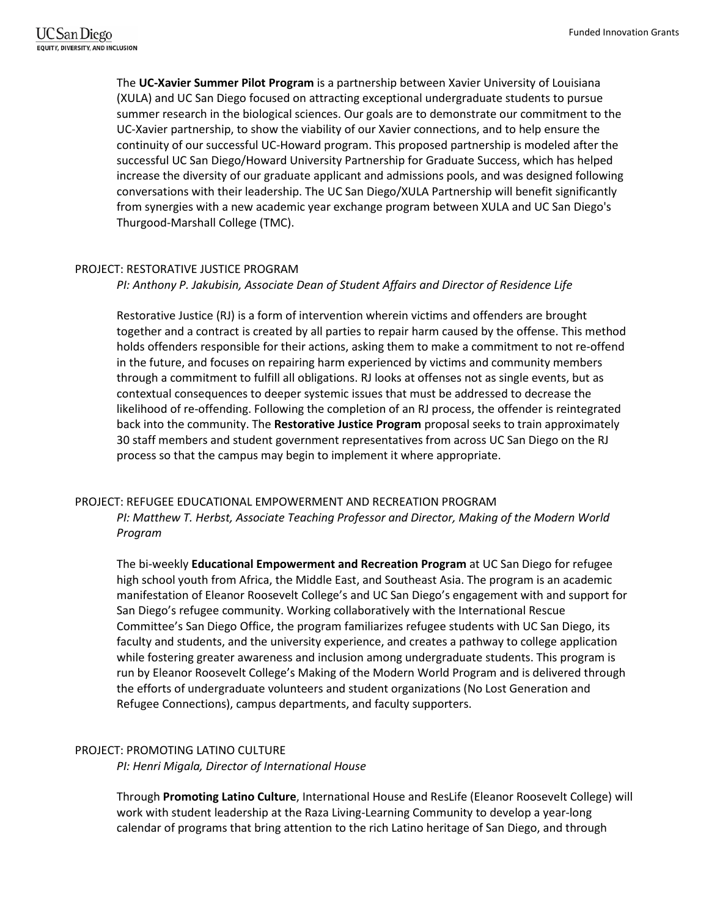The **UC-Xavier Summer Pilot Program** is a partnership between Xavier University of Louisiana (XULA) and UC San Diego focused on attracting exceptional undergraduate students to pursue summer research in the biological sciences. Our goals are to demonstrate our commitment to the UC-Xavier partnership, to show the viability of our Xavier connections, and to help ensure the continuity of our successful UC-Howard program. This proposed partnership is modeled after the successful UC San Diego/Howard University Partnership for Graduate Success, which has helped increase the diversity of our graduate applicant and admissions pools, and was designed following conversations with their leadership. The UC San Diego/XULA Partnership will benefit significantly from synergies with a new academic year exchange program between XULA and UC San Diego's Thurgood-Marshall College (TMC).

#### PROJECT: RESTORATIVE JUSTICE PROGRAM

*PI: Anthony P. Jakubisin, Associate Dean of Student Affairs and Director of Residence Life*

Restorative Justice (RJ) is a form of intervention wherein victims and offenders are brought together and a contract is created by all parties to repair harm caused by the offense. This method holds offenders responsible for their actions, asking them to make a commitment to not re-offend in the future, and focuses on repairing harm experienced by victims and community members through a commitment to fulfill all obligations. RJ looks at offenses not as single events, but as contextual consequences to deeper systemic issues that must be addressed to decrease the likelihood of re-offending. Following the completion of an RJ process, the offender is reintegrated back into the community. The **Restorative Justice Program** proposal seeks to train approximately 30 staff members and student government representatives from across UC San Diego on the RJ process so that the campus may begin to implement it where appropriate.

# PROJECT: REFUGEE EDUCATIONAL EMPOWERMENT AND RECREATION PROGRAM

*PI: Matthew T. Herbst, Associate Teaching Professor and Director, Making of the Modern World Program*

The bi-weekly **Educational Empowerment and Recreation Program** at UC San Diego for refugee high school youth from Africa, the Middle East, and Southeast Asia. The program is an academic manifestation of Eleanor Roosevelt College's and UC San Diego's engagement with and support for San Diego's refugee community. Working collaboratively with the International Rescue Committee's San Diego Office, the program familiarizes refugee students with UC San Diego, its faculty and students, and the university experience, and creates a pathway to college application while fostering greater awareness and inclusion among undergraduate students. This program is run by Eleanor Roosevelt College's Making of the Modern World Program and is delivered through the efforts of undergraduate volunteers and student organizations (No Lost Generation and Refugee Connections), campus departments, and faculty supporters.

#### PROJECT: PROMOTING LATINO CULTURE

*PI: Henri Migala, Director of International House*

Through **Promoting Latino Culture**, International House and ResLife (Eleanor Roosevelt College) will work with student leadership at the Raza Living-Learning Community to develop a year-long calendar of programs that bring attention to the rich Latino heritage of San Diego, and through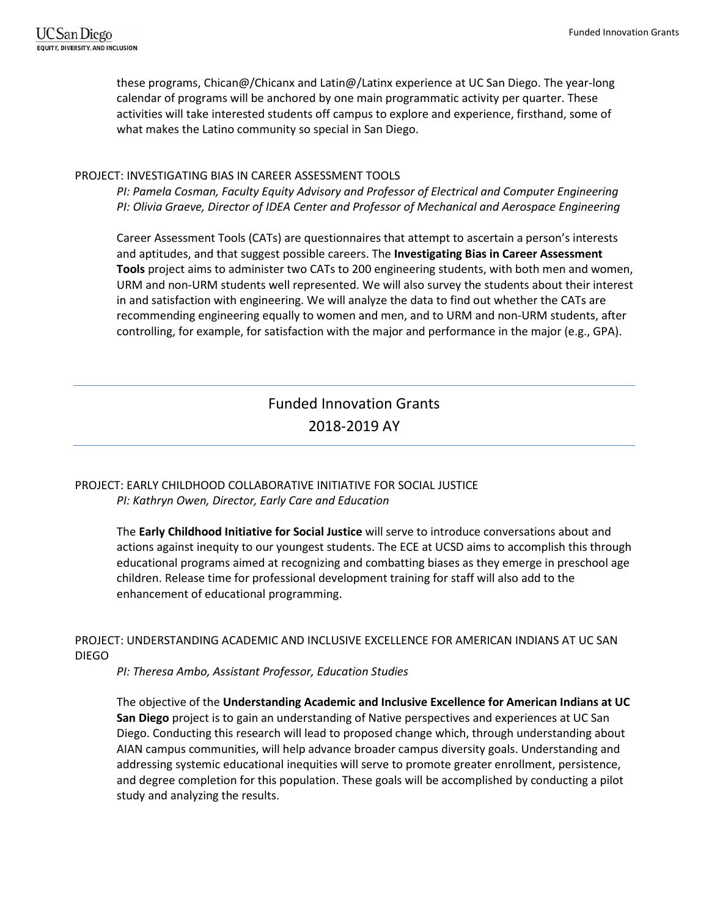these programs, Chican@/Chicanx and Latin@/Latinx experience at UC San Diego. The year-long calendar of programs will be anchored by one main programmatic activity per quarter. These activities will take interested students off campus to explore and experience, firsthand, some of what makes the Latino community so special in San Diego.

### PROJECT: INVESTIGATING BIAS IN CAREER ASSESSMENT TOOLS

*PI: Pamela Cosman, Faculty Equity Advisory and Professor of Electrical and Computer Engineering PI: Olivia Graeve, Director of IDEA Center and Professor of Mechanical and Aerospace Engineering*

Career Assessment Tools (CATs) are questionnaires that attempt to ascertain a person's interests and aptitudes, and that suggest possible careers. The **Investigating Bias in Career Assessment Tools** project aims to administer two CATs to 200 engineering students, with both men and women, URM and non-URM students well represented. We will also survey the students about their interest in and satisfaction with engineering. We will analyze the data to find out whether the CATs are recommending engineering equally to women and men, and to URM and non-URM students, after controlling, for example, for satisfaction with the major and performance in the major (e.g., GPA).

# Funded Innovation Grants 2018-2019 AY

# PROJECT: EARLY CHILDHOOD COLLABORATIVE INITIATIVE FOR SOCIAL JUSTICE *PI: Kathryn Owen, Director, Early Care and Education*

The **Early Childhood Initiative for Social Justice** will serve to introduce conversations about and actions against inequity to our youngest students. The ECE at UCSD aims to accomplish this through educational programs aimed at recognizing and combatting biases as they emerge in preschool age children. Release time for professional development training for staff will also add to the enhancement of educational programming.

# PROJECT: UNDERSTANDING ACADEMIC AND INCLUSIVE EXCELLENCE FOR AMERICAN INDIANS AT UC SAN DIEGO

*PI: Theresa Ambo, Assistant Professor, Education Studies*

The objective of the **Understanding Academic and Inclusive Excellence for American Indians at UC San Diego** project is to gain an understanding of Native perspectives and experiences at UC San Diego. Conducting this research will lead to proposed change which, through understanding about AIAN campus communities, will help advance broader campus diversity goals. Understanding and addressing systemic educational inequities will serve to promote greater enrollment, persistence, and degree completion for this population. These goals will be accomplished by conducting a pilot study and analyzing the results.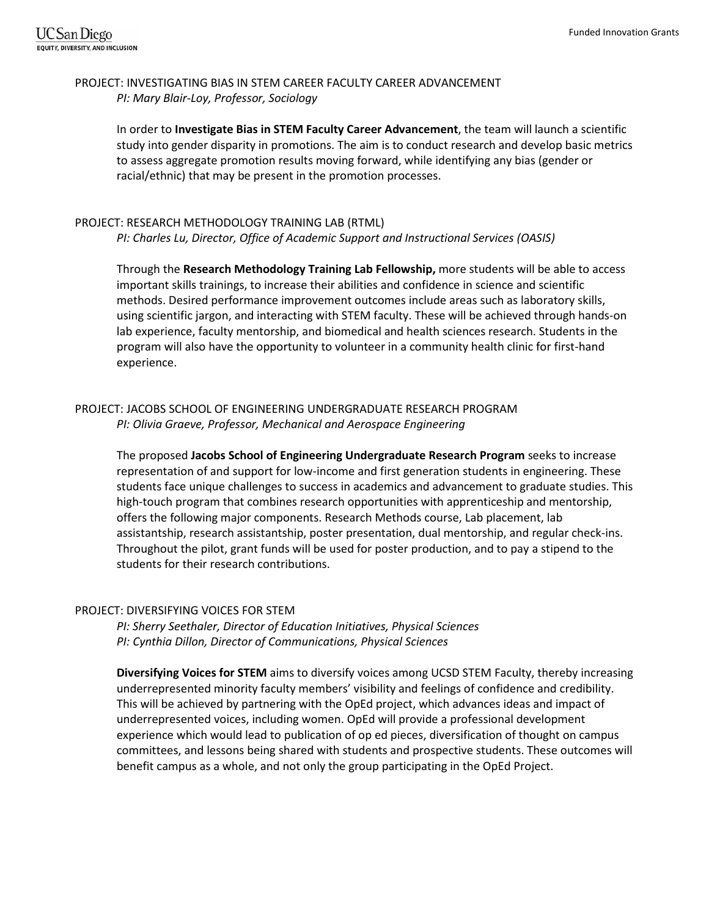# PROJECT: INVESTIGATING BIAS IN STEM CAREER FACULTY CAREER ADVANCEMENT *PI: Mary Blair-Loy, Professor, Sociology*

In order to **Investigate Bias in STEM Faculty Career Advancement**, the team will launch a scientific study into gender disparity in promotions. The aim is to conduct research and develop basic metrics to assess aggregate promotion results moving forward, while identifying any bias (gender or racial/ethnic) that may be present in the promotion processes.

#### PROJECT: RESEARCH METHODOLOGY TRAINING LAB (RTML)

*PI: Charles Lu, Director, Office of Academic Support and Instructional Services (OASIS)*

Through the **Research Methodology Training Lab Fellowship,** more students will be able to access important skills trainings, to increase their abilities and confidence in science and scientific methods. Desired performance improvement outcomes include areas such as laboratory skills, using scientific jargon, and interacting with STEM faculty. These will be achieved through hands-on lab experience, faculty mentorship, and biomedical and health sciences research. Students in the program will also have the opportunity to volunteer in a community health clinic for first-hand experience.

# PROJECT: JACOBS SCHOOL OF ENGINEERING UNDERGRADUATE RESEARCH PROGRAM *PI: Olivia Graeve, Professor, Mechanical and Aerospace Engineering*

The proposed **Jacobs School of Engineering Undergraduate Research Program** seeks to increase representation of and support for low-income and first generation students in engineering. These students face unique challenges to success in academics and advancement to graduate studies. This high-touch program that combines research opportunities with apprenticeship and mentorship, offers the following major components. Research Methods course, Lab placement, lab assistantship, research assistantship, poster presentation, dual mentorship, and regular check-ins. Throughout the pilot, grant funds will be used for poster production, and to pay a stipend to the students for their research contributions.

#### PROJECT: DIVERSIFYING VOICES FOR STEM

*PI: Sherry Seethaler, Director of Education Initiatives, Physical Sciences PI: Cynthia Dillon, Director of Communications, Physical Sciences*

**Diversifying Voices for STEM** aims to diversify voices among UCSD STEM Faculty, thereby increasing underrepresented minority faculty members' visibility and feelings of confidence and credibility. This will be achieved by partnering with the OpEd project, which advances ideas and impact of underrepresented voices, including women. OpEd will provide a professional development experience which would lead to publication of op ed pieces, diversification of thought on campus committees, and lessons being shared with students and prospective students. These outcomes will benefit campus as a whole, and not only the group participating in the OpEd Project.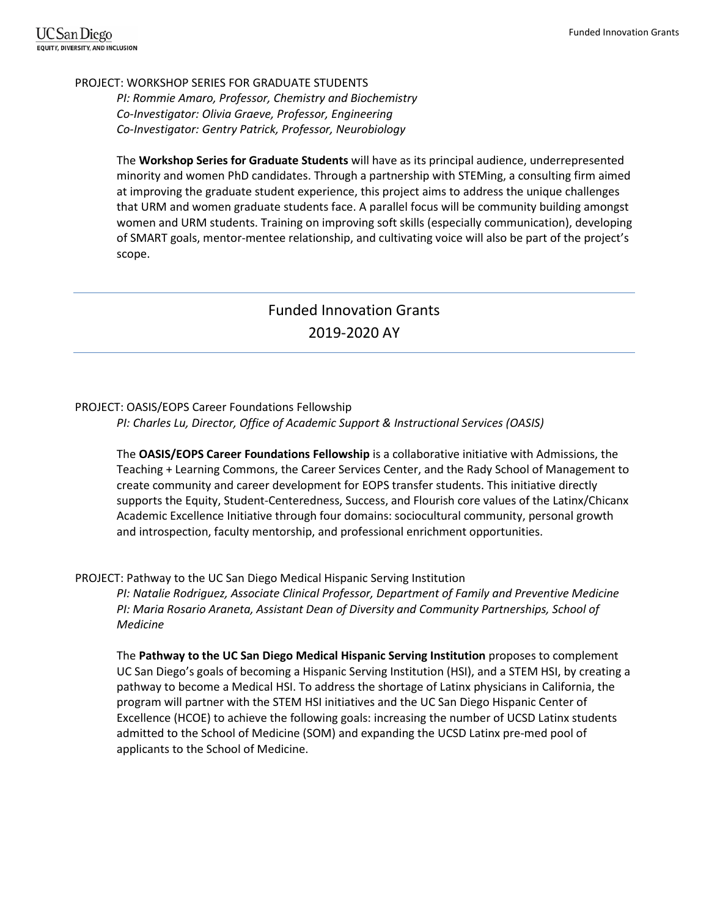#### PROJECT: WORKSHOP SERIES FOR GRADUATE STUDENTS

*PI: Rommie Amaro, Professor, Chemistry and Biochemistry Co-Investigator: Olivia Graeve, Professor, Engineering Co-Investigator: Gentry Patrick, Professor, Neurobiology*

The **Workshop Series for Graduate Students** will have as its principal audience, underrepresented minority and women PhD candidates. Through a partnership with STEMing, a consulting firm aimed at improving the graduate student experience, this project aims to address the unique challenges that URM and women graduate students face. A parallel focus will be community building amongst women and URM students. Training on improving soft skills (especially communication), developing of SMART goals, mentor-mentee relationship, and cultivating voice will also be part of the project's scope.

# Funded Innovation Grants 2019-2020 AY

# PROJECT: OASIS/EOPS Career Foundations Fellowship

*PI: Charles Lu, Director, Office of Academic Support & Instructional Services (OASIS)*

The **OASIS/EOPS Career Foundations Fellowship** is a collaborative initiative with Admissions, the Teaching + Learning Commons, the Career Services Center, and the Rady School of Management to create community and career development for EOPS transfer students. This initiative directly supports the Equity, Student-Centeredness, Success, and Flourish core values of the Latinx/Chicanx Academic Excellence Initiative through four domains: sociocultural community, personal growth and introspection, faculty mentorship, and professional enrichment opportunities.

# PROJECT: Pathway to the UC San Diego Medical Hispanic Serving Institution

*PI: Natalie Rodriguez, Associate Clinical Professor, Department of Family and Preventive Medicine PI: Maria Rosario Araneta, Assistant Dean of Diversity and Community Partnerships, School of Medicine*

The **Pathway to the UC San Diego Medical Hispanic Serving Institution** proposes to complement UC San Diego's goals of becoming a Hispanic Serving Institution (HSI), and a STEM HSI, by creating a pathway to become a Medical HSI. To address the shortage of Latinx physicians in California, the program will partner with the STEM HSI initiatives and the UC San Diego Hispanic Center of Excellence (HCOE) to achieve the following goals: increasing the number of UCSD Latinx students admitted to the School of Medicine (SOM) and expanding the UCSD Latinx pre-med pool of applicants to the School of Medicine.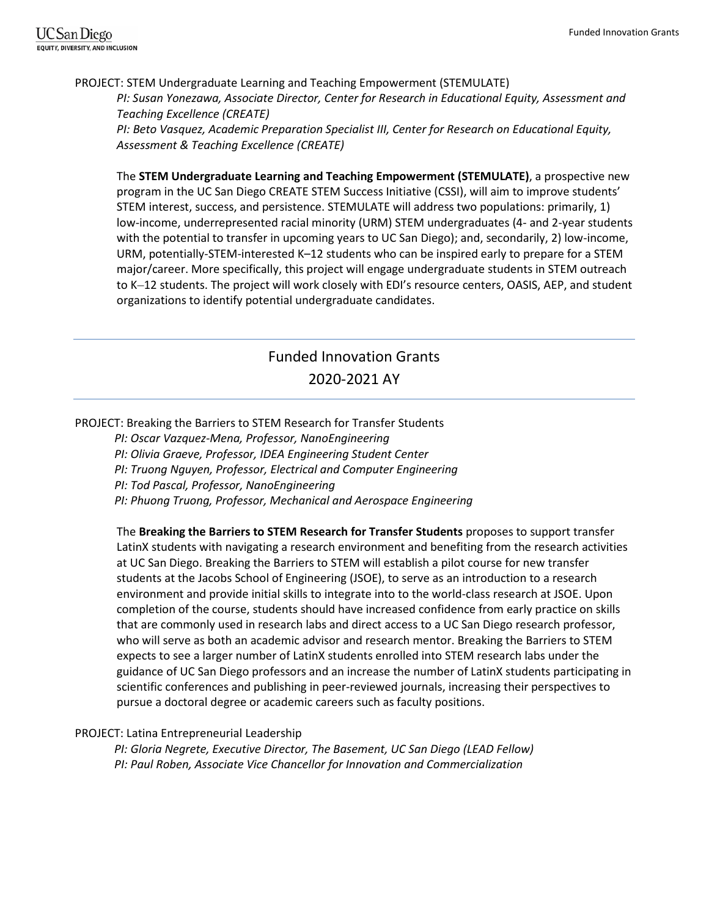#### PROJECT: STEM Undergraduate Learning and Teaching Empowerment (STEMULATE)

*PI: Susan Yonezawa, Associate Director, Center for Research in Educational Equity, Assessment and Teaching Excellence (CREATE)*

*PI: Beto Vasquez, Academic Preparation Specialist III, Center for Research on Educational Equity, Assessment & Teaching Excellence (CREATE)*

The **STEM Undergraduate Learning and Teaching Empowerment (STEMULATE)**, a prospective new program in the UC San Diego CREATE STEM Success Initiative (CSSI), will aim to improve students' STEM interest, success, and persistence. STEMULATE will address two populations: primarily, 1) low-income, underrepresented racial minority (URM) STEM undergraduates (4- and 2-year students with the potential to transfer in upcoming years to UC San Diego); and, secondarily, 2) low-income, URM, potentially-STEM-interested K–12 students who can be inspired early to prepare for a STEM major/career. More specifically, this project will engage undergraduate students in STEM outreach to K–12 students. The project will work closely with EDI's resource centers, OASIS, AEP, and student organizations to identify potential undergraduate candidates.

# Funded Innovation Grants 2020-2021 AY

#### PROJECT: Breaking the Barriers to STEM Research for Transfer Students

*PI: Oscar Vazquez-Mena, Professor, NanoEngineering*

*PI: Olivia Graeve, Professor, IDEA Engineering Student Center*

*PI: Truong Nguyen, Professor, Electrical and Computer Engineering* 

*PI: Tod Pascal, Professor, NanoEngineering*

*PI: Phuong Truong, Professor, Mechanical and Aerospace Engineering* 

The **Breaking the Barriers to STEM Research for Transfer Students** proposes to support transfer LatinX students with navigating a research environment and benefiting from the research activities at UC San Diego. Breaking the Barriers to STEM will establish a pilot course for new transfer students at the Jacobs School of Engineering (JSOE), to serve as an introduction to a research environment and provide initial skills to integrate into to the world-class research at JSOE. Upon completion of the course, students should have increased confidence from early practice on skills that are commonly used in research labs and direct access to a UC San Diego research professor, who will serve as both an academic advisor and research mentor. Breaking the Barriers to STEM expects to see a larger number of LatinX students enrolled into STEM research labs under the guidance of UC San Diego professors and an increase the number of LatinX students participating in scientific conferences and publishing in peer-reviewed journals, increasing their perspectives to pursue a doctoral degree or academic careers such as faculty positions.

# PROJECT: Latina Entrepreneurial Leadership

*PI: Gloria Negrete, Executive Director, The Basement, UC San Diego (LEAD Fellow) PI: Paul Roben, Associate Vice Chancellor for Innovation and Commercialization*